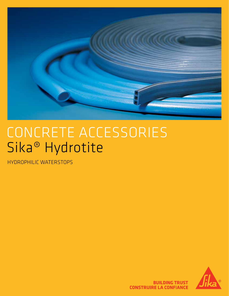

# CONCRETE ACCESSORIES Sika® Hydrotite

HYDROPHILIC WATERSTOPS



**BUILDING TRUST CONSTRUIRE LA CONFIANCE**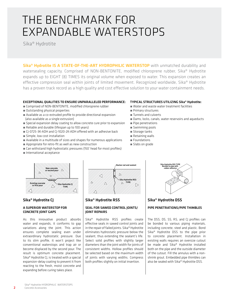## THE BENCHMARK FOR EXPANDABLE WATERSTOPS

Sika® Hydrotite

Sika<sup>®</sup> Hydrotite IS A STATE-OF-THE-ART HYDROPHILIC WATERSTOP with unmatched durability and watersealing capacity. Comprised of NON-BENTONITE, modified chloroprene rubber, Sika® Hydrotite expands up to EIGHT (8) TIMES its original volume when exposed to water. This expansion creates an effective compression seal within joints of limited movement. Recognized worldwide, Sika® Hydrotite has a proven track record as a high quality and cost effective solution to your water containment needs.

### EXCEPTIONAL QUALITIES TO ENSURE UNPARALLELED PERFORMANCE:

- Comprised of NON-BENTONITE, modified chloroprene rubber
- Outstanding physical properties
- Available as a co-extruded profile to provide directional expansion (also available as a single extrusion)
- Special expansion delay coating to allow concrete cure prior to expansion
- Reliable and durable (lifespan up to 100 years)
- CJ-0725-3K-ADH and CJ-1020-2K-ADH offered with an adhesive back
- Simple, low cost installation
- Available in a multitude of sizes and shapes for numerous applications
- Appropriate for retro-fit as well as new construction
- Can withstand high hydrostatic pressures (150' head for most profiles)
- International acceptance



- Water and waste water treatment facilities
- **Primary structures**
- Tunnels and culverts
- Dams, locks, canals, water reservoirs and aqueducts
- **Pipe penetrations**
- Swimming pools
- Storage tanks
- Retaining walls
- **Foundations**
- Slabs on grade



### Sika® Hydrotite CJ

### A SUPERIOR WATERSTOP FOR CONCRETE JOINT GAPS

As this innovative product absorbs water and expands, it conforms to gap variations along the joint. This action ensures complete sealing even under extraordinary hydrostatic pressure. Due to its slim profile, it won't project like conventional waterstops and trap air or become displaced by the second pour. The result is optimum concrete placement. Sika® Hydrotite CJ, is treated with a special expansion-delay coating to prevent it from reacting to the fresh, moist concrete and expanding before curing takes place.



### Sika® Hydrotite RSS

### SEAL FOR SAWED CONTROL JOINTS/ JOINT REPAIRS

Sika® Hydrotite RSS profiles create effective seals in sawed control joints and in the repair of failed joints. Sika® Hydrotite eliminates hydrostatic pressure below the sealant, thus extending the sealant's life. Select solid profiles with slightly larger diameters than the joint width for joints of consistent widths. Hollow profiles should be selected based on the maximum width of joints with varying widths. Compress both profiles slightly on initial insertion.



### Sika® Hydrotite DSS PIPE PENETRATIONS/PIPE THIMBLES

The DSS, DS, SS, RS, and CJ profiles can be bonded to various piping materials, including concrete, steel and plastic. Bond Sika® Hydrotite DSS to the pipe prior to concrete placement. Installation in existing walls requires an oversize cutout be made and Sika® Hydrotite installed both on the pipe and the outside diameter of the cutout. Fill the annulus with a nonshrink grout. Embedded pipe thimbles can also be sealed with Sika® Hydrotite DSS.

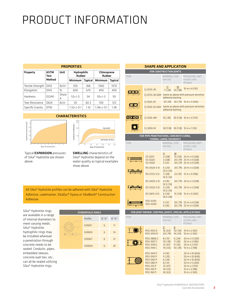## PRODUCT INFORMATION

| <b>PROPERTIES</b>      |                     |                    |                              |                |                              |                |  |  |
|------------------------|---------------------|--------------------|------------------------------|----------------|------------------------------|----------------|--|--|
| Property               | <b>ASTM</b><br>Test | Unit               | <b>Hydrophilic</b><br>Rubber |                | <b>Chloroprene</b><br>Rubber |                |  |  |
|                        | Method              |                    | Minimum                      | <b>Typical</b> | Minimum                      | <b>Typical</b> |  |  |
| Tensile Strength       | D412                | lb/in <sup>2</sup> | 350                          | 366            | 1300                         | 1570           |  |  |
| Elongation             | D412                | %                  | 600                          | 670            | 400                          | 450            |  |  |
| Hardness               | D <sub>2240</sub>   | Shore<br>А         | $52+/-5$                     | 54             | $50+/-5$                     | 50             |  |  |
| <b>Tear Resistance</b> | D624                | lb/in              | 50                           | 60.3           | 100                          | 123            |  |  |
| Specific Gravity       | D792                |                    | $1.32+/-0.1$                 | 1.32           | $1.38 + / -0.1$              | 1.38           |  |  |







Typical EXPANSION pressures of Sika® Hydrotite are shown above.



All Sika® Hydrotite profiles can be adhered with Sika® Hydrotite Adhesive, Leakmaster, SikaDur® Epoxy or SikaBond® Construction Adhesive.

Sika® Hydrotite rings are available in a range of internal diameters to meet varying needs. Sika® Hydrotite hydrophilic rings may be installed wherever a penetration through concrete needs to be sealed. Conduits, pipes, embedded sleeves, concrete wall ties, etc., can all be sealed utilizing Sika® Hydrotite rings.

| <b>HYDROPHILIC RINGS</b> |         |       |       |  |  |  |  |
|--------------------------|---------|-------|-------|--|--|--|--|
| 0.77                     | Profile | Ø "d" | Ø "D" |  |  |  |  |
|                          | GH0611  | 6     | 11    |  |  |  |  |
| <b>Billian</b><br>СD     | GH0614  | 6     | 14    |  |  |  |  |
|                          | GH0621  | 6     | 21    |  |  |  |  |
|                          | GH0624  | 6     | 74    |  |  |  |  |

#### SHAPE AND APPLICATION FOR CONSTRUCTION JOINTS ITEM NOMINAL SIZE PACKAGING UNIT mm (in) m/roll x rolls (ft/box) H  $\frac{W}{25(0.98)}$  $10 m \times 4 (131)$ CJ-0725-3K 7 (.28) CJ-0725-3K-ADH Same as above with pressure sensitive adhesive backing 10 (.39) 20 (.79) 10 m x 5 (164) CJ-1020-2K CJ-1020-2K-ADH Same as above with pressure sensitive adhesive backing CACO CJ-1030-4M 10 (.39) 30 (1.18) 10 m x 4 (131)  $\overline{\mathbf{C}}$ CJ-3030-M 30 (1.18) 30 (1.18) 10 m x 1 (33) FOR PIPE PENETRATIONS, CONCRETE CURBS, TUNNEL LINING SEGMENTS ITEM NOMINAL SIZE PACKAGING UNIT m/roll x rolls mm (in) (ft/box) H W SS-0215 2 (.08) 15 (.59) 25 m x 4 (328) SS-0220 2 (.08) 20 (.79) 25 m x 4 (328) SS-0320 3 (.12) 20 (.79) 25 m x 4 (328) RS-0520-3.5I 5 (.20) 20 (.79) 20 m x 5 (328) h3.5 (.14) RS-0723-3.5I 7 (.28) 23 (.91) 15 m x 4 (196)  $h3.5$  (.14) 4 (.16) DS-0420-2.5I 20 (.79) 20 m x 5 (328)  $h2.5$  (.10) DS-0520-3.5I 5 (.20) 20 (.79) 20 m x 5 (328)  $h3.5(14)$ DS-0615-4.5I  $6(.24)$ 15 (.59) 15 m x 5 (245)  $h4.5$  (.18) DSS-0320 DSS-0320<br>DSS-0420 3 (12) 20 (.79) 25 m x 4 (328) 4 (.16) 20 (.79) 25 m x 5 (328) FOR JOINT REPAIR, CONTROL JOINTS, SPECIAL APPLICATIONS ITEM NOMINAL SIZE PACKAGING UNIT m/roll x rolls mm (in)  $(f<sub>t</sub>/h<sub>0</sub>)$  $\Box$ B RSS-1610 D 16 (.63) 10 (.39) 10 m x 2 (65) RSS-2014 D 20 (.79) 14 (.55) 10 m x 2 (65) RSS-0806 C 8 (.31) 6 (.24) 20 m x 5 (320) RSS-1007 C 10 (.39) 7 (.28) 20 m x 3 (196) RSS-1209 C 12 (.47) 9 (.35) 20 m x 2 (131) RSS-1410 C 14 (.55) 10 (.39) 15 m x 2 (98) RSS-040 P 20 m x 10 (656) 4 (.16) - RSS-050 P 5 (.20) 20 m x 10 (656) - RSS-060 P 6 (.24) 20 m x 10 (656) - RSS-080 P  $8(31)$ 20 m x 5 (320) - RSS-120 P 12 (.47) 20 m x 2 (131) - RSS-140 P 14 (.55) 15 m x 2 (98) -

10 m x 2 (65)

RSS-160 P

16 (.63)

-

3